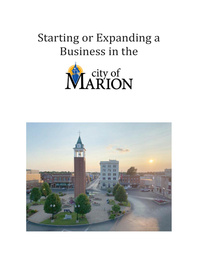# Starting or Expanding a Business in the



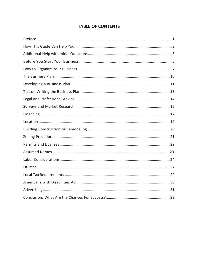# **TABLE OF CONTENTS**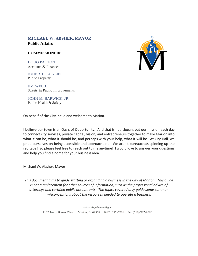#### **MICHAEL W. ABSHER, MAYOR Public Affairs**

#### **COMMISSIONERS**

DOUG PATTON Accounts & Finances

JOHN STOECKLIN Public Property

JIM WEBB Streets & Public Improvements

JOHN M. BARWICK, JR. Public Health & Safety

On behalf of the City, hello and welcome to Marion.

I believe our town is an Oasis of Opportunity. And that isn't a slogan, but our mission each day to connect city services, private capital, vision, and entrepreneurs together to make Marion into what it can be, what it should be, and perhaps with your help, what it will be. At City Hall, we pride ourselves on being accessible and approachable. We aren't bureaucrats spinning up the red tape! So please feel free to reach out to me anytime! I would love to answer your questions and help you find a home for your business idea.

Michael W. Absher, Mayor

*This document aims to guide starting or expanding a business in the City of Marion. This guide is not a replacement for other sources of information, such as the professional advice of attorneys and certified public accountants. The topics covered only guide some common misconceptions about the resources needed to operate a business.*

> \'V\vw.cityofmarionil.gov 1102 Tower Square Plaza • Marion, IL 62959 • (618) 997-6281 • Fax (618) 997-2028

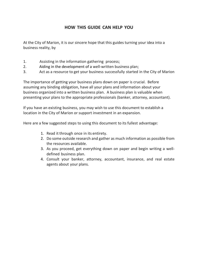# <span id="page-3-0"></span>**HOW THIS GUIDE CAN HELP YOU**

At the City of Marion, it is our sincere hope that this guides turning your idea into a business reality, by

- 1. Assisting in the information gathering process;
- 2. Aiding in the development of a well-written business plan;
- 3. Act as a resource to get your business successfully started in the City of Marion

The importance of getting your business plans down on paper is crucial. Before assuming any binding obligation, have all your plans and information about your business organized into a written business plan. A business plan is valuable when presenting your plans to the appropriate professionals (banker, attorney, accountant).

If you have an existing business, you may wish to use this document to establish a location in the City of Marion or support investment in an expansion.

Here are a few suggested steps to using this document to its fullest advantage:

- 1. Read it through once in its entirety.
- 2. Do some outside research and gather as much information as possible from the resources available.
- 3. As you proceed, get everything down on paper and begin writing a welldefined business plan.
- 4. Consult your banker, attorney, accountant, insurance, and real estate agents about your plans.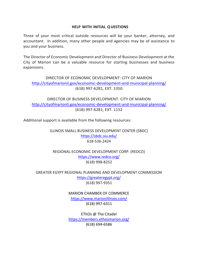#### **HELP WITH INITIAL QUESTIONS**

<span id="page-4-0"></span>Three of your most critical outside resources will be your banker, attorney, and accountant. In addition, many other people and agencies may be of assistance to you and your business.

The Director of Economic Development and Director of Business Development at the City of Marion can be a valuable resource for starting businesses and business expansions.

DIRECTOR OF ECONOMIC DEVELOPMENT: CITY OF MARION <http://cityofmarionil.gov/economic-development-and-municipal-planning/> (618) 997-6281, EXT. 1350

DIRECTOR OF BUSINESS DEVELOPMENT: CITY OF MARION <http://cityofmarionil.gov/economic-development-and-municipal-planning/> (618) 997-6281, EXT. 1152

Additional support is available from the following resources:

ILLINOIS SMALL BUSINESS DEVELOPMENT CENTER (SBDC) <https://sbdc.siu.edu/> 618-536-2424

REGIONAL ECONOMIC DEVELOPMENT CORP. (REDCO) <https://www.redco.org/> (618) 998-8252

GREATER EGYPT REGIONAL PLANNING AND DEVELOPMENT COMMISSION <https://greateregypt.org/> (618) 997-9351

> MARION CHAMBER OF COMMERCE <https://www.marionillinois.com/> (618) 997-6311

> EThOs @ The Citadel <https://members.ethosmarion.org/> (618) 694-6586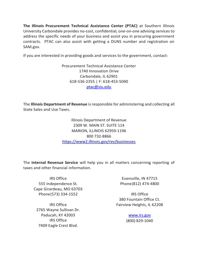**The Illinois Procurement Technical Assistance Center (PTAC)** at Southern Illinois University Carbondale provides no-cost, confidential, one-on-one advising services to address the specific needs of your business and assist you in procuring government contracts. PTAC can also assist with getting a DUNS number and registration on SAM.gov.

If you are interested in providing goods and services to the government, contact:

Procurement Technical Assistance Center 1740 Innovation Drive Carbondale, IL 62901 618-536-2355 | F: 618-453-5040 [ptac@siu.edu](mailto:ptac@siu.edu)

The **Illinois Department of Revenue** is responsible for administering and collecting all State Sales and Use Taxes.

> Illinois Department of Revenue 2309 W. MAIN ST. SUITE 114 MARION, ILLINOIS 62959-1196 800 732-8866 <https://www2.illinois.gov/rev/businesses>

The **Internal Revenue Service** will help you in all matters concerning reporting of taxes and other financial information.

IRS Office 555 Independence St. Cape Girardeau, MO 63703 Phone(573) 334-1552

IRS Office 2765 Wayne Sullivan Dr. Paducah, KY 42003 IRS Office 7409 Eagle Crest Blvd.

Evansville, IN 47715 Phone(812) 474-4800

IRS Office 380 Fountain Office Ct. Fairview Heights, IL 62208

> [www.irs.gov](http://www.irs.gov/) (800) 829-1040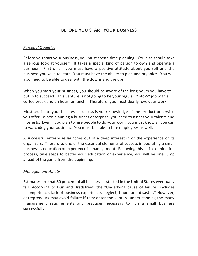# **BEFORE YOU START YOUR BUSINESS**

#### <span id="page-6-0"></span>*Personal Qualities*

Before you start your business, you must spend time planning. You also should take a serious look at yourself. It takes a special kind of person to own and operate a business. First of all, you must have a positive attitude about yourself and the business you wish to start. You must have the ability to plan and organize. You will also need to be able to deal with the downs and the ups.

When you start your business, you should be aware of the long hours you have to put in to succeed. This venture is not going to be your regular "9-to-5" job with a coffee break and an hour for lunch. Therefore, you must dearly love your work.

Most crucial to your business's success is your knowledge of the product or service you offer. When planning a business enterprise, you need to assess your talents and interests. Even if you plan to hire people to do your work, you must know all you can to watchdog your business. You must be able to hire employees as well.

A successful enterprise launches out of a deep interest in or the experience of its organizers. Therefore, one of the essential elements of success in operating a small business is education or experience in management. Following this self- examination process, take steps to better your education or experience; you will be one jump ahead of the game from the beginning.

#### *Management Ability*

Estimates are that 80 percent of all businesses started in the United States eventually fail. According to Dun and Bradstreet, the "Underlying cause of failure includes incompetence, lack of business experience, neglect, fraud, and disaster." However, entrepreneurs may avoid failure if they enter the venture understanding the many management requirements and practices necessary to run a small business successfully.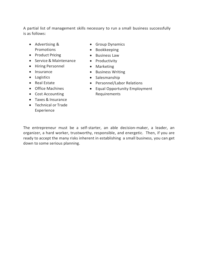A partial list of management skills necessary to run a small business successfully is as follows:

- Advertising & Promotions
- Product Pricing
- Service & Maintenance
- Hiring Personnel
- Insurance
- Logistics
- Real Estate
- Office Machines
- Cost Accounting
- Taxes & Insurance
- Technical or Trade Experience
- Group Dynamics
- Bookkeeping
- Business Law
- Productivity
- Marketing
- Business Writing
- Salesmanship
- Personnel/Labor Relations
- Equal Opportunity Employment Requirements

The entrepreneur must be a self-starter, an able decision-maker, a leader, an organizer, a hard worker, trustworthy, responsible, and energetic. Then, if you are ready to accept the many risks inherent in establishing a small business, you can get down to some serious planning.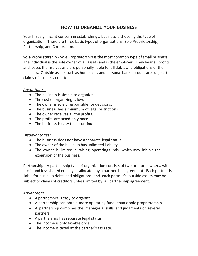# **HOW TO ORGANIZE YOUR BUSINESS**

<span id="page-8-0"></span>Your first significant concern in establishing a business is choosing the type of organization. There are three basic types of organizations: Sole Proprietorship, Partnership, and Corporation.

**Sole Proprietorship** - Sole Proprietorship is the most common type of small business. The individual is the sole owner of all assets and is the employer. They bear all profits and losses themselves and are personally liable for all debts and obligations of the business. Outside assets such as home, car, and personal bank account are subject to claims of business creditors.

#### *Advantages:*

- The business is simple to organize.
- The cost of organizing is low.
- The owner is solely responsible for decisions.
- The business has a minimum of legal restrictions.
- The owner receives all the profits.
- The profits are taxed only once.
- The business is easy to discontinue.

#### *Disadvantages:*

- The business does not have a separate legal status.
- The owner of the business has unlimited liability.
- The owner is limited in raising operating funds, which may inhibit the expansion of the business.

**Partnership** - A partnership type of organization consists of two or more owners, with profit and loss shared equally or allocated by a partnership agreement. Each partner is liable for business debts and obligations, and each partner's outside assets may be subject to claims of creditors unless limited by a partnership agreement.

#### *Advantages:*

- A partnership is easy to organize.
- A partnership can obtain more operating funds than a sole proprietorship.
- A partnership combines the managerial skills and judgments of several partners.
- A partnership has separate legal status.
- The income is only taxable once.
- The income is taxed at the partner's tax rate.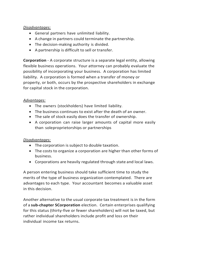### *Disadvantages:*

- General partners have unlimited liability.
- A change in partners could terminate the partnership.
- The decision-making authority is divided.
- A partnership is difficult to sell or transfer.

**Corporation** - A corporate structure is a separate legal entity, allowing flexible business operations. Your attorney can probably evaluate the possibility of incorporating your business. A corporation has limited liability. A corporation is formed when a transfer of money or property, or both, occurs by the prospective shareholders in exchange for capital stock in the corporation.

### *Advantages:*

- The owners (stockholders) have limited liability.
- The business continues to exist after the death of an owner.
- The sale of stock easily does the transfer of ownership.
- A corporation can raise larger amounts of capital more easily than soleproprietorships or partnerships

#### *Disadvantages:*

- The corporation is subject to double taxation.
- The costs to organize a corporation are higher than other forms of business.
- Corporations are heavily regulated through state and local laws.

A person entering business should take sufficient time to study the merits of the type of business organization contemplated. There are advantages to each type. Your accountant becomes a valuable asset in this decision.

Another alternative to the usual corporate tax treatment is in the form of a **sub-chapter SCorporation** election. Certain enterprises qualifying for this status (thirty-five or fewer shareholders) will not be taxed, but rather individual shareholders include profit and loss on their individual income tax returns.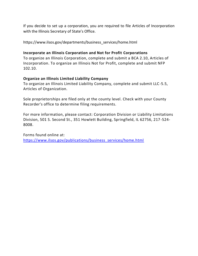If you decide to set up a corporation, you are required to file Articles of Incorporation with the Illinois Secretary of State's Office.

https://www.ilsos.gov/departments/business\_services/home.html

#### **Incorporate an Illinois Corporation and Not for Profit Corporations**

To organize an Illinois Corporation, complete and submit a BCA 2.10, Articles of Incorporation. To organize an Illinois Not for Profit, complete and submit NFP 102.10.

#### **Organize an Illinois Limited Liability Company**

To organize an Illinois Limited Liability Company, complete and submit LLC-5.5, Articles of Organization.

Sole proprietorships are filed only at the county level. Check with your County Recorder's office to determine filing requirements.

For more information, please contact: Corporation Division or Liability Limitations Division, 501 S. Second St., 351 Howlett Building, Springfield, IL 62756, 217-524- 8008.

Forms found online at: [https://www.ilsos.gov/publications/business\\_services/home.html](https://www.ilsos.gov/publications/business_services/home.html)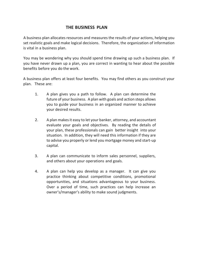# <span id="page-11-0"></span>**THE BUSINESS PLAN**

A business plan allocates resources and measures the results of your actions, helping you set realistic goals and make logical decisions. Therefore, the organization of information is vital in a business plan.

You may be wondering why you should spend time drawing up such a business plan. If you have never drawn up a plan, you are correct in wanting to hear about the possible benefits before you do the work.

A business plan offers at least four benefits. You may find others as you construct your plan. These are:

- 1. A plan gives you a path to follow. A plan can determine the future of your business. A plan with goals and action steps allows you to guide your business in an organized manner to achieve your desired results.
- 2. A plan makes it easy to let your banker, attorney, and accountant evaluate your goals and objectives. By reading the details of your plan, these professionals can gain better insight into your situation. In addition, they will need this information if they are to advise you properly or lend you mortgage money and start-up capital.
- 3. A plan can communicate to inform sales personnel, suppliers, and others about your operations and goals.
- 4. A plan can help you develop as a manager. It can give you practice thinking about competitive conditions, promotional opportunities, and situations advantageous to your business. Over a period of time, such practices can help increase an owner's/manager's ability to make sound judgments.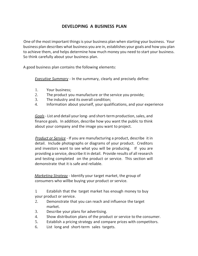# **DEVELOPING A BUSINESS PLAN**

<span id="page-12-0"></span>One of the most important things is your business plan when starting your business. Your business plan describes what business you are in, establishes your goals and how you plan to achieve them, and helps determine how much money you need to start your business. So think carefully about your business plan.

A good business plan contains the following elements:

*Executive Summary* - In the summary, clearly and precisely define:

- 1. Your business;
- 2. The product you manufacture or the service you provide;
- 3. The industry and its overall condition;
- 4. Information about yourself, your qualifications, and your experience

*Goals*- List and detail your long- and short-term production, sales, and finance goals. In addition, describe how you want the public to think about your company and the image you want to project.

*Product or Service* - If you are manufacturing a product, describe it in detail. Include photographs or diagrams of your product. Creditors and investors want to see what you will be producing. If you are providing a service, describe it in detail. Provide results of all research and testing completed on the product or service. This section will demonstrate that it is safe and reliable.

*Marketing Strategy* - Identify your target market, the group of consumers who willbe buying your product or service.

1. Establish that the target market has enough money to buy your product or service.

- 2. Demonstrate that you can reach and influence the target market.
- 3. Describe your plans for advertising.
- 4. Show distribution plans of the product or service to the consumer.
- 5. Establish a pricing strategy and compare prices with competitors.
- 6. List long and short-term sales targets.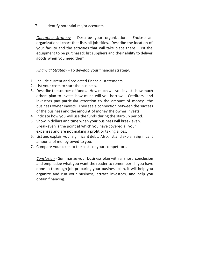7. Identify potential major accounts.

*Operating Strategy* - Describe your organization. Enclose an organizational chart that lists all job titles. Describe the location of your facility and the activities that will take place there. List the equipment to be purchased: list suppliers and their ability to deliver goods when you need them.

*Financial Strategy* - To develop your financial strategy:

- 1. Include current and projected financial statements.
- 2. List your costs to start the business.
- 3. Describe the sources of funds. How much will you invest, how much others plan to invest, how much will you borrow. Creditors and investors pay particular attention to the amount of money the business owner invests. They see a connection between the success of the business and the amount of money the owner invests.
- 4. Indicate how you will use the funds during the start-up period.
- *5.* Show in dollars and time when your business will break even. Break-even is the point at which you have covered all your expenses and are not making a profit or taking a loss.
- 6. List and explain yoursignificant debt. Also, list and explain significant amounts of money owed to you.
- 7. Compare your costs to the costs of your competitors.

*Conclusion* - Summarize your business plan with a short conclusion and emphasize what you want the reader to remember. If you have done a thorough job preparing your business plan, it will help you organize and run your business, attract investors, and help you obtain financing.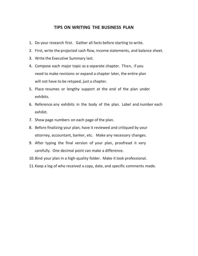#### **TIPS ON WRITING THE BUSINESS PLAN**

- <span id="page-14-0"></span>1. Do your research first. Gather all facts before starting to write.
- 2. First, write the projected cash flow, income statements, and balance sheet.
- 3. Write the Executive Summary last.
- 4. Compose each major topic as a separate chapter. Then, if you need to make revisions or expand a chapter later, the entire plan will not have to be retyped, just a chapter.
- 5. Place resumes or lengthy support at the end of the plan under exhibits.
- 6. Reference any exhibits in the body of the plan. Label and number each exhibit.
- 7. Show page numbers on each page of the plan.
- 8. Before finalizing your plan, have it reviewed and critiqued by your attorney, accountant, banker, etc. Make any necessary changes.
- 9. After typing the final version of your plan, proofread it very carefully. One decimal point can make a difference.
- 10.Bind your plan in a high-quality folder. Make it look professional.
- 11.Keep a log of who received a copy, date, and specific comments made.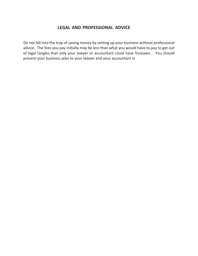## **LEGAL AND PROFESSIONAL ADVICE**

<span id="page-15-0"></span>Do not fall into the trap of saving money by setting up your business without professional advice. The fees you pay initially may be less than what you would have to pay to get out of legal tangles that only your lawyer or accountant could have foreseen. You should present your business plan to your lawyer and your accountant in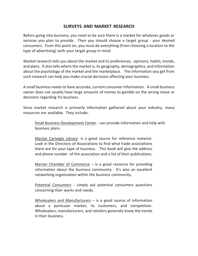## **SURVEYS AND MARKET RESEARCH**

<span id="page-16-0"></span>Before going into business, you need to be sure there is a market for whatever goods or services you plan to provide. Then you should choose a target group - your desired consumers. From this point on, you must do everything (from choosing a location to the type of advertising) with your target group in mind.

Market research tells you about the market and its preferences, opinions, habits, trends, and plans. It also tells where the market is, its geography, demographics, and information about the psychology of the market and the marketplace. The information you get from such research can help you make crucial decisions affecting your business.

A small business needs to have accurate, current consumer information. A small business owner does not usually have large amounts of money to gamble on the wrong move or decisions regarding his business.

Since market research is primarily information gathered about your industry, many resources are available. They include:

Small Business Development Center - can provide information and help with business plans.

Marion Carnegie Library- is a good source for reference material. Look in the Directory of Associations to find what trade associations there are for your type of business. This book will give the address and phone number of the association and a list of their publications.

Marion Chamber of Commerce  $-$  is a good resource for providing information about the business community. It's also an excellent networking organization within the business community.

Potential Consumers - simply ask potential consumers questions concerning their wants and needs.

Wholesalers and Manufacturers  $-$  is a good source of information about a particular market, its customers, and competition. Wholesalers, manufacturers, and retailers generally know the trends in their business.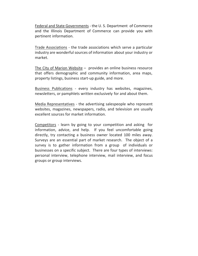Federal and State Governments - the U. S. Department of Commerce and the Illinois Department of Commerce can provide you with pertinent information.

Trade Associations - the trade associations which serve a particular industry are wonderful sources of information about your industry or market.

The City of Marion Website – provides an online business resource that offers demographic and community information, area maps, property listings, business start-up guide, and more.

Business Publications - every industry has websites, magazines, newsletters, or pamphlets written exclusively for and about them.

Media Representatives - the advertising salespeople who represent websites, magazines, newspapers, radio, and television are usually excellent sources for market information.

Competitors - learn by going to your competition and asking for information, advice, and help. If you feel uncomfortable going directly, try contacting a business owner located 100 miles away. Surveys are an essential part of market research. The object of a survey is to gather information from a group of individuals or businesses on a specific subject. There are four types of interviews: personal interview, telephone interview, mail interview, and focus groups or group interviews.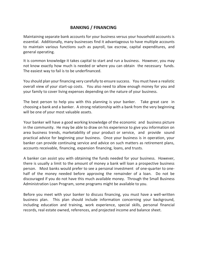# <span id="page-18-0"></span>**BANKING / FINANCING**

Maintaining separate bank accounts for your business versus your household accounts is essential. Additionally, many businesses find it advantageous to have multiple accounts to maintain various functions such as payroll, tax escrow, capital expenditures, and general operating.

It is common knowledge it takes capital to start and run a business. However, you may not know exactly how much is needed or where you can obtain the necessary funds. The easiest way to fail is to be underfinanced.

You should plan your financing very carefully to ensure success. You must have a realistic overall view of your start-up costs. You also need to allow enough money for you and your family to cover living expenses depending on the nature of your business.

The best person to help you with this planning is your banker. Take great care in choosing a bank and a banker. A strong relationship with a bank from the very beginning will be one of your most valuable assets.

Your banker will have a good working knowledge of the economic and business picture in the community. He may be able to draw on his experience to give you information on area business trends, marketability of your product or service, and provide sound practical advice for beginning your business. Once your business is in operation, your banker can provide continuing service and advice on such matters as retirement plans, accounts receivable, financing, expansion financing, loans, and trusts.

A banker can assist you with obtaining the funds needed for your business. However, there is usually a limit to the amount of money a bank will loan a prospective business person. Most banks would prefer to see a personal investment of one-quarter to onehalf of the money needed before approving the remainder of a loan. Do not be discouraged if you do not have this much available money. Through the Small Business Administration Loan Program, some programs might be available to you.

Before you meet with your banker to discuss financing, you must have a well-written business plan. This plan should include information concerning your background, including education and training, work experience, special skills, personal financial records, real estate owned, references, and projected income and balance sheet.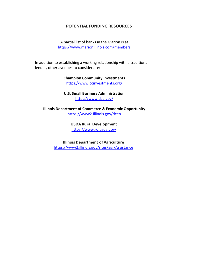#### **POTENTIAL FUNDING RESOURCES**

A partial list of banks in the Marion is at <https://www.marionillinois.com/members>

In addition to establishing a working relationship with a traditional lender, other avenues to consider are:

> **Champion Community Investments** <https://www.ccinvestments.org/>

**U.S. Small Business Administration** <https://www.sba.gov/>

**Illinois Department of Commerce & Economic Opportunity** <https://www2.illinois.gov/dceo>

> **USDA Rural Development** <https://www.rd.usda.gov/>

**Illinois Department of Agriculture** <https://www2.illinois.gov/sites/agr/Assistance>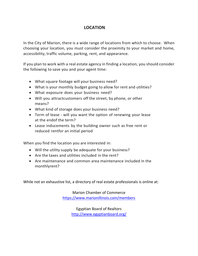# **LOCATION**

<span id="page-20-0"></span>In the City of Marion, there is a wide range of locations from which to choose. When choosing your location, you must consider the proximity to your market and home, accessibility, traffic volume, parking, rent, and appearance.

If you plan to work with a real estate agency in finding a location, you should consider the following to save you and your agent time:

- What square footage will your business need?
- What is your monthly budget going to allow for rent and utilities?
- What exposure does your business need?
- Will you attractcustomers off the street, by phone, or other means?
- What kind of storage does your business need?
- Term of lease will you want the option of renewing your lease at the endof the term?
- Lease inducements by the building owner such as free rent or reduced rentfor an initial period

When you find the location you are interested in:

- Will the utility supply be adequate for your business?
- Are the taxes and utilities included in the rent?
- Are maintenance and common area maintenance included in the monthlyrent?

While not an exhaustive list, a directory of real estate professionals is online at:

Marion Chamber of Commerce <https://www.marionillinois.com/members>

> Egyptian Board of Realtors <http://www.egyptianboard.org/>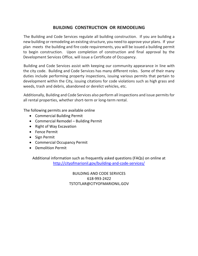# **BUILDING CONSTRUCTION OR REMODELING**

The Building and Code Services regulate all building construction. If you are building a new building or remodeling an existing structure, you need to approve your plans. If your plan meets the building and fire code requirements, you will be issued a building permit to begin construction. Upon completion of construction and final approval by the Development Services Office, will issue a Certificate of Occupancy.

Building and Code Services assist with keeping our community appearance in line with the city code. Building and Code Services has many different roles. Some of their many duties include performing property inspections, issuing various permits that pertain to development within the City, issuing citations for code violations such as high grass and weeds, trash and debris, abandoned or derelict vehicles, etc.

Additionally, Building and Code Services also perform all inspections and issue permits for all rental properties, whether short-term or long-term rental.

The following permits are available online

- Commercial Building Permit
- Commercial Remodel Building Permit
- Right of Way Excavation
- Fence Permit
- Sign Permit
- Commercial Occupancy Permit
- Demolition Permit

Additional information such as frequently asked questions (FAQs) on online at <http://cityofmarionil.gov/building-and-code-services/>

> BUILDING AND CODE SERVICES 618-993-2422 TSTOTLAR@CITYOFMARIONIL.GOV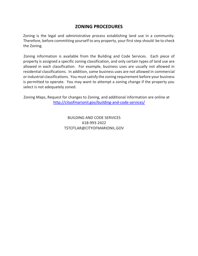# **ZONING PROCEDURES**

Zoning is the legal and administrative process establishing land use in a community. Therefore, before committing yourself to any property, your first step should be to check the Zoning.

Zoning information is available from the Building and Code Services. Each piece of property is assigned a specific zoning classification, and only certain types of land use are allowed in each classification. For example, business uses are usually not allowed in residential classifications. In addition, some business uses are not allowed in commercial or industrial classifications. You must satisfy the zoning requirement before your business is permitted to operate. You may want to attempt a zoning change if the property you select is not adequately zoned.

Zoning Maps, Request for changes to Zoning, and additional information are online at <http://cityofmarionil.gov/building-and-code-services/>

> BUILDING AND CODE SERVICES 618-993-2422 TSTOTLAR@CITYOFMARIONIL.GOV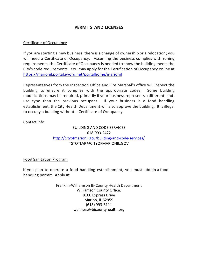# **PERMITS AND LICENSES**

#### Certificate of Occupancy

If you are starting a new business, there is a change of ownership or a relocation; you will need a Certificate of Occupancy. Assuming the business complies with zoning requirements, the Certificate of Occupancy is needed to show the building meets the City's code requirements. You may apply for the Certification of Occupancy online at <https://marionil.portal.iworq.net/portalhome/marionil>

Representatives from the Inspection Office and Fire Marshal's office will inspect the building to ensure it complies with the appropriate codes. Some building modifications may be required, primarily if your business represents a different landuse type than the previous occupant. If your business is a food handling establishment, the City Health Department will also approve the building. It is illegal to occupy a building without a Certificate of Occupancy.

Contact Info:

## BUILDING AND CODE SERVICES 618-993-2422 <http://cityofmarionil.gov/building-and-code-services/> TSTOTLAR@CITYOFMARIONIL.GOV

Food Sanitation Program

If you plan to operate a food handling establishment, you must obtain a food handling permit. Apply at

> Franklin-Williamson Bi-County Health Department Williamson County Office: 8160 Express Drive Marion, IL 62959 (618) 993-8111 wellness@bicountyhealth.org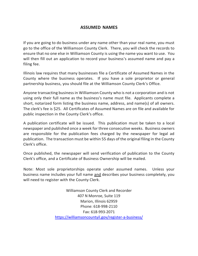## **ASSUMED NAMES**

If you are going to do business under any name other than your real name, you must go to the office of the Williamson County Clerk. There, you will check the records to ensure that no one else in Williamson County is using the name you want to use. You will then fill out an application to record your business's assumed name and pay a filing fee.

Illinois law requires that many businesses file a Certificate of Assumed Names in the County where the business operates. If you have a sole proprietor or general partnership business, you should file at the Williamson County Clerk's Office.

Anyone transacting business in Williamson County who is not a corporation and is not using only their full name as the business's name must file. Applicants complete a short, notarized form listing the business name, address, and name(s) of all owners. The clerk's fee is \$25. All Certificates of Assumed Names are on file and available for public inspection in the County Clerk's office.

A publication certificate will be issued. This publication must be taken to a local newspaper and published once a week for three consecutive weeks. Business owners are responsible for the publication fees charged by the newspaper for legal ad publication. The transaction must be within 55 days of the original filing in the County Clerk's office.

Once published, the newspaper will send verification of publication to the County Clerk's office, and a Certificate of Business Ownership will be mailed.

Note: Most sole proprietorships operate under assumed names. Unless your business name includes your full name and describes your business completely, you will need to register with the County Clerk.

> Williamson County Clerk and Recorder 407 N Monroe, Suite 119 Marion, Illinois 62959 Phone: 618-998-2110 Fax: 618-993-2071 <https://williamsoncountyil.gov/register-a-business/>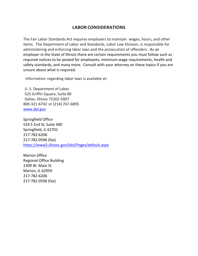# <span id="page-25-0"></span>**LABOR CONSIDERATIONS**

The Fair Labor Standards Act requires employers to maintain wages, hours, and other items. The Department of Labor and Standards, Labor Law Division, is responsible for administering and enforcing labor laws and the prosecution of offenders. As an employer in the State of Illinois there are certain requirements you must follow such as required notices to be posted for employees, minimum wage requirements, health and safety standards, and many more. Consult with your attorney on these topics if you are unsure about what is required.

Information regarding labor laws is available at:

U. S. Department of Labor 525 Griffin Square, Suite 80 Dallas, Illinois 75202-5007 800-321-6742 or (214) 767-6895 [www.dol.gov](http://www.dol.gov/)

Springfield Office 524 S 2nd St, Suite 400 Springfield, IL 62701 217-782-6206 217-782-0596 (fax) <https://www2.illinois.gov/idol/Pages/default.aspx>

Marion Office Regional Office Building 2309 W. Main St Marion, IL 62959 217-782-6206 217-782-0596 (fax)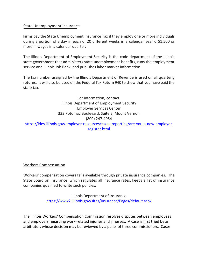#### State Unemployment Insurance

Firms pay the State Unemployment Insurance Tax if they employ one or more individuals during a portion of a day in each of 20 different weeks in a calendar year or\$1,500 or more in wages in a calendar quarter.

The Illinois Department of Employment Security is the code department of the Illinois state government that administers state unemployment benefits, runs the employment service and Illinois Job Bank, and publishes labor market information.

The tax number assigned by the Illinois Department of Revenue is used on all quarterly returns. It will also be used on the Federal Tax Return 940 to show that you have paid the state tax.

For information, contact: Illinois Department of Employment Security Employer Services Center 333 Potomac Boulevard, Suite E, Mount Vernon (800) 247-4954 [https://ides.illinois.gov/employer-resources/taxes-reporting/are-you-a-new-employer](https://ides.illinois.gov/employer-resources/taxes-reporting/are-you-a-new-employer-register.html)[register.html](https://ides.illinois.gov/employer-resources/taxes-reporting/are-you-a-new-employer-register.html)

#### Workers Compensation

Workers' compensation coverage is available through private insurance companies. The State Board on Insurance, which regulates all insurance rates, keeps a list of insurance companies qualified to write such policies.

> Illinois Department of Insurance <https://www2.illinois.gov/sites/Insurance/Pages/default.aspx>

The Illinois Workers' Compensation Commission resolves disputes between employees and employers regarding work-related injuries and illnesses. A case is first tried by an arbitrator, whose decision may be reviewed by a panel of three commissioners. Cases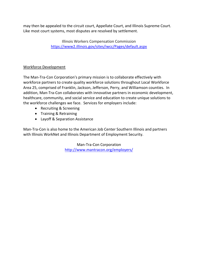may then be appealed to the circuit court, Appellate Court, and Illinois Supreme Court. Like most court systems, most disputes are resolved by settlement.

> Illinois Workers Compensation Commission <https://www2.illinois.gov/sites/iwcc/Pages/default.aspx>

## Workforce Development

The Man-Tra-Con Corporation's primary mission is to collaborate effectively with workforce partners to create quality workforce solutions throughout Local Workforce Area 25, comprised of Franklin, Jackson, Jefferson, Perry, and Williamson counties. In addition, Man-Tra-Con collaborates with innovative partners in economic development, healthcare, community, and social service and education to create unique solutions to the workforce challenges we face. Services for employers include:

- Recruiting & Screening
- Training & Retraining
- Layoff & Separation Assistance

Man-Tra-Con is also home to the American Job Center Southern Illinois and partners with Illinois WorkNet and Illinois Department of Employment Security.

> <span id="page-27-0"></span>Man-Tra-Con Corporation <http://www.mantracon.org/employers/>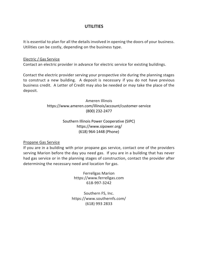## **UTILITIES**

It is essential to plan for all the details involved in opening the doors of your business. Utilities can be costly, depending on the business type.

#### Electric / Gas Service

Contact an electric provider in advance for electric service for existing buildings.

Contact the electric provider serving your prospective site during the planning stages to construct a new building. A deposit is necessary if you do not have previous business credit. A Letter of Credit may also be needed or may take the place of the deposit.

> Ameren Illinois https://www.ameren.com/illinois/account/customer-service (800) 232-2477

## Southern Illinois Power Cooperative (SIPC) https://www.sipower.org/ (618) 964-1448 (Phone)

#### Propane Gas Service

If you are in a building with prior propane gas service, contact one of the providers serving Marion before the day you need gas. If you are in a building that has never had gas service or in the planning stages of construction, contact the provider after determining the necessary need and location for gas.

> Ferrellgas Marion https://www.ferrellgas.com 618-997-3242

Southern FS, Inc. https://www.southernfs.com/ (618) 993 2833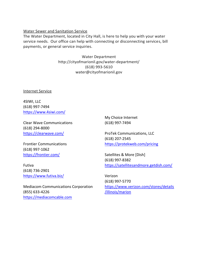#### Water Sewer and Sanitation Service

The Water Department, located in City Hall, is here to help you with your water service needs. Our office can help with connecting or disconnecting services, bill payments, or general service inquiries.

> Water Department http://cityofmarionil.gov/water-department/ (618) 993-5610 water@cityofmarionil.gov

Internet Service

4SIWI, LLC (618) 997-7494 <https://www.4siwi.com/>

Clear Wave Communications (618) 294-8000 <https://clearwave.com/>

Frontier Communications (618) 997-1062 <https://frontier.com/>

Futiva (618) 736-2901 <https://www.futiva.biz/>

Mediacom Communications Corporation (855) 633-4226 [https://mediacomcable.com](https://mediacomcable.com/)

My Choice Internet (618) 997-7494

ProTek Communications, LLC (618) 207-2545 <https://protekweb.com/pricing>

Satellites & More [Dish] (618) 997-8382 <https://satellitesandmore.getdish.com/>

Verizon (618) 997-5770 [https://www.verizon.com/stores/details](https://www.verizon.com/stores/details/illinois/marion) [/illinois/marion](https://www.verizon.com/stores/details/illinois/marion)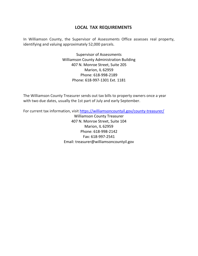## **LOCAL TAX REQUIREMENTS**

<span id="page-30-0"></span>In Williamson County, the Supervisor of Assessments Office assesses real property, identifying and valuing approximately 52,000 parcels.

> Supervisor of Assessments Williamson County Administration Building 407 N. Monroe Street, Suite 205 Marion, IL 62959 Phone: 618-998-2189 Phone: 618-997-1301 Ext. 1181

The Williamson County Treasurer sends out tax bills to property owners once a year with two due dates, usually the 1st part of July and early September.

For current tax information, visit<https://williamsoncountyil.gov/county-treasurer/>

Williamson County Treasurer 407 N. Monroe Street, Suite 104 Marion, IL 62959 Phone: 618-998-2142 Fax: 618-997-2541 Email: treasurer@williamsoncountyil.gov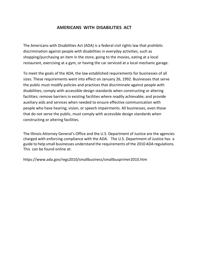# **AMERICANS WITH DISABILITIES ACT**

<span id="page-31-0"></span>The Americans with Disabilities Act (ADA) is a federal civil rights law that prohibits discrimination against people with disabilities in everyday activities, such as shopping/purchasing an item in the store, going to the movies, eating at a local restaurant, exercising at a gym, or having the car serviced at a local mechanic garage.

To meet the goals of the ADA, the law established requirements for businesses of all sizes. These requirements went into effect on January 26, 1992. Businesses that serve the public must modify policies and practices that discriminate against people with disabilities; comply with accessible design standards when constructing or altering facilities; remove barriers in existing facilities where readily achievable; and provide auxiliary aids and services when needed to ensure effective communication with people who have hearing, vision, or speech impairments. All businesses, even those that do not serve the public, must comply with accessible design standards when constructing or altering facilities.

The Illinois Attorney General's Office and the U.S. Department of Justice are the agencies charged with enforcing compliance with the ADA. The U.S. Department of Justice has a guide to help small businesses understand the requirements of the 2010 ADA regulations. This can be found online at:

https://www.ada.gov/regs2010/smallbusiness/smallbusprimer2010.htm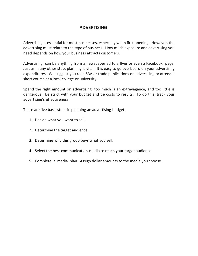## **ADVERTISING**

<span id="page-32-0"></span>Advertising is essential for most businesses, especially when first opening. However, the advertising must relate to the type of business. How much exposure and advertising you need depends on how your business attracts customers.

Advertising can be anything from a newspaper ad to a flyer or even a Facebook page. Just as in any other step, planning is vital. It is easy to go overboard on your advertising expenditures. We suggest you read SBA or trade publications on advertising or attend a short course at a local college or university.

Spend the right amount on advertising: too much is an extravagance, and too little is dangerous. Be strict with your budget and tie costs to results. To do this, track your advertising's effectiveness.

There are five basic steps in planning an advertising budget:

- 1. Decide what you want to sell.
- 2. Determine the target audience.
- 3. Determine why this group buys what you sell.
- 4. Select the best communication media to reach your target audience.
- 5. Complete a media plan. Assign dollar amounts to the media you choose.